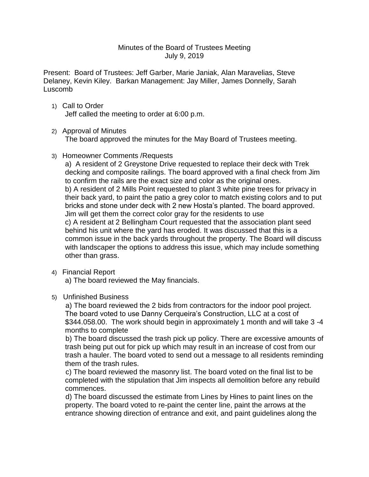### Minutes of the Board of Trustees Meeting July 9, 2019

Present: Board of Trustees: Jeff Garber, Marie Janiak, Alan Maravelias, Steve Delaney, Kevin Kiley. Barkan Management: Jay Miller, James Donnelly, Sarah Luscomb

1) Call to Order Jeff called the meeting to order at 6:00 p.m.

# 2) Approval of Minutes

The board approved the minutes for the May Board of Trustees meeting.

# 3) Homeowner Comments /Requests

a) A resident of 2 Greystone Drive requested to replace their deck with Trek decking and composite railings. The board approved with a final check from Jim to confirm the rails are the exact size and color as the original ones. b) A resident of 2 Mills Point requested to plant 3 white pine trees for privacy in their back yard, to paint the patio a grey color to match existing colors and to put bricks and stone under deck with 2 new Hosta's planted. The board approved. Jim will get them the correct color gray for the residents to use c) A resident at 2 Bellingham Court requested that the association plant seed behind his unit where the yard has eroded. It was discussed that this is a common issue in the back yards throughout the property. The Board will discuss with landscaper the options to address this issue, which may include something other than grass.

4) Financial Report

a) The board reviewed the May financials.

5) Unfinished Business

 a) The board reviewed the 2 bids from contractors for the indoor pool project. The board voted to use Danny Cerqueira's Construction, LLC at a cost of \$344.058.00. The work should begin in approximately 1 month and will take 3 -4 months to complete

 b) The board discussed the trash pick up policy. There are excessive amounts of trash being put out for pick up which may result in an increase of cost from our trash a hauler. The board voted to send out a message to all residents reminding them of the trash rules.

 c) The board reviewed the masonry list. The board voted on the final list to be completed with the stipulation that Jim inspects all demolition before any rebuild commences.

 d) The board discussed the estimate from Lines by Hines to paint lines on the property. The board voted to re-paint the center line, paint the arrows at the entrance showing direction of entrance and exit, and paint guidelines along the